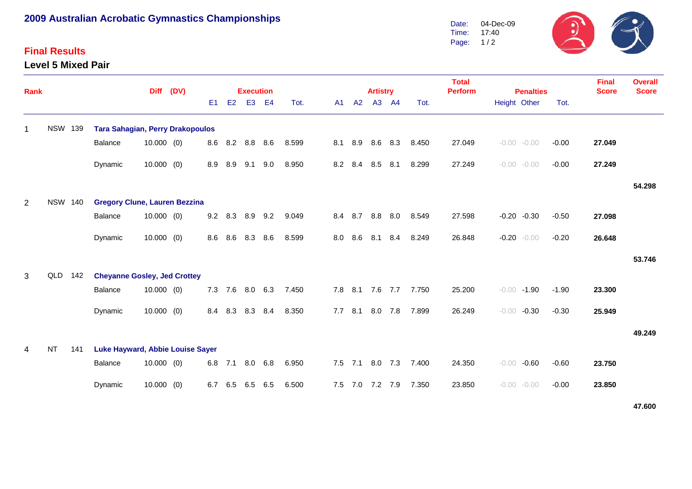# **2009 Australian Acrobatic Gymnastics Championships**

## **Final Results**

#### **Level 5 Mixed Pair**



| <b>Rank</b> |                |     |                                         | <b>Diff</b>  | (DV) |     |         | <b>Execution</b> |     |       |     |     | <b>Artistry</b> |         |       | <b>Total</b><br><b>Perform</b> | <b>Penalties</b>   |         | <b>Final</b><br><b>Score</b> | <b>Overall</b><br><b>Score</b> |
|-------------|----------------|-----|-----------------------------------------|--------------|------|-----|---------|------------------|-----|-------|-----|-----|-----------------|---------|-------|--------------------------------|--------------------|---------|------------------------------|--------------------------------|
|             |                |     |                                         |              |      | E1  | E2      | E <sub>3</sub>   | E4  | Tot.  | A1  | A2  |                 | A3 A4   | Tot.  |                                | Height Other       | Tot.    |                              |                                |
| $\mathbf 1$ | <b>NSW 139</b> |     | <b>Tara Sahagian, Perry Drakopoulos</b> |              |      |     |         |                  |     |       |     |     |                 |         |       |                                |                    |         |                              |                                |
|             |                |     | Balance                                 | $10.000$ (0) |      | 8.6 | 8.2     | 8.8 8.6          |     | 8.599 | 8.1 | 8.9 |                 | 8.6 8.3 | 8.450 | 27.049                         | $-0.00 - 0.00$     | $-0.00$ | 27.049                       |                                |
|             |                |     | Dynamic                                 | $10.000$ (0) |      | 8.9 | 8.9     | 9.1              | 9.0 | 8.950 | 8.2 | 8.4 | 8.5             | 8.1     | 8.299 | 27.249                         | $-0.00 - 0.00$     | $-0.00$ | 27.249                       |                                |
|             |                |     |                                         |              |      |     |         |                  |     |       |     |     |                 |         |       |                                |                    |         |                              | 54.298                         |
| 2           | <b>NSW 140</b> |     | <b>Gregory Clune, Lauren Bezzina</b>    |              |      |     |         |                  |     |       |     |     |                 |         |       |                                |                    |         |                              |                                |
|             |                |     | Balance                                 | $10.000$ (0) |      | 9.2 | 8.3     | 8.9              | 9.2 | 9.049 | 8.4 | 8.7 | 8.8             | 8.0     | 8.549 | 27.598                         | $-0.20$<br>$-0.30$ | $-0.50$ | 27.098                       |                                |
|             |                |     | Dynamic                                 | $10.000$ (0) |      | 8.6 | 8.6     | 8.3              | 8.6 | 8.599 | 8.0 | 8.6 | 8.1             | 8.4     | 8.249 | 26.848                         | $-0.20$<br>$-0.00$ | $-0.20$ | 26.648                       |                                |
|             |                |     |                                         |              |      |     |         |                  |     |       |     |     |                 |         |       |                                |                    |         |                              | 53.746                         |
| 3           | QLD            | 142 | <b>Cheyanne Gosley, Jed Crottey</b>     |              |      |     |         |                  |     |       |     |     |                 |         |       |                                |                    |         |                              |                                |
|             |                |     | Balance                                 | $10.000$ (0) |      |     | 7.3 7.6 | 8.0 6.3          |     | 7.450 | 7.8 | 8.1 | 7.6             | 7.7     | 7.750 | 25.200                         | $-0.00$<br>$-1.90$ | $-1.90$ | 23.300                       |                                |
|             |                |     | Dynamic                                 | $10.000$ (0) |      | 8.4 | 8.3     | 8.3              | 8.4 | 8.350 | 7.7 | 8.1 | 8.0             | 7.8     | 7.899 | 26.249                         | $-0.00$<br>$-0.30$ | $-0.30$ | 25.949                       |                                |
|             |                |     |                                         |              |      |     |         |                  |     |       |     |     |                 |         |       |                                |                    |         |                              | 49.249                         |
| 4           | <b>NT</b>      | 141 | Luke Hayward, Abbie Louise Sayer        |              |      |     |         |                  |     |       |     |     |                 |         |       |                                |                    |         |                              |                                |
|             |                |     | Balance                                 | $10.000$ (0) |      | 6.8 | 7.1     | 8.0              | 6.8 | 6.950 | 7.5 | 7.1 | 8.0             | 7.3     | 7.400 | 24.350                         | $-0.00$<br>$-0.60$ | $-0.60$ | 23.750                       |                                |
|             |                |     | Dynamic                                 | $10.000$ (0) |      | 6.7 | 6.5     | 6.5              | 6.5 | 6.500 | 7.5 | 7.0 |                 | 7.2 7.9 | 7.350 | 23.850                         | $-0.00$<br>$-0.00$ | $-0.00$ | 23.850                       |                                |

**47.600**